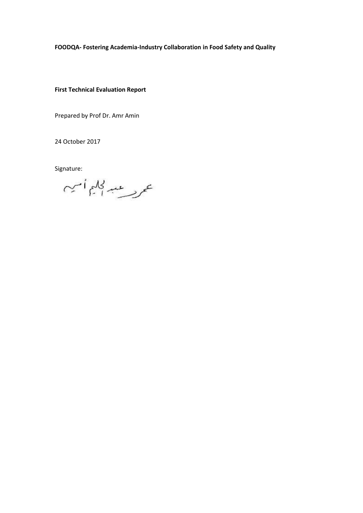## **FOODQA- Fostering Academia-Industry Collaboration in Food Safety and Quality**

**First Technical Evaluation Report**

Prepared by Prof Dr. Amr Amin

24 October 2017

Signature:

عمريسية للجليماني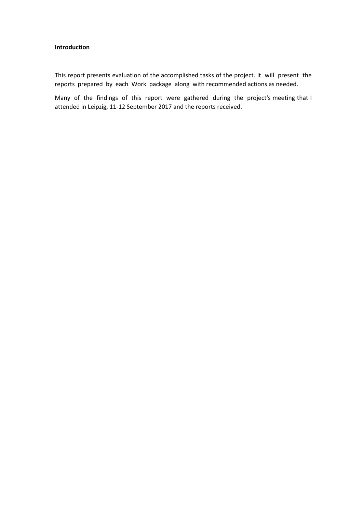# **Introduction**

This report presents evaluation of the accomplished tasks of the project. It will present the reports prepared by each Work package along with recommended actions as needed.

Many of the findings of this report were gathered during the project's meeting that I attended in Leipzig, 11-12 September 2017 and the reports received.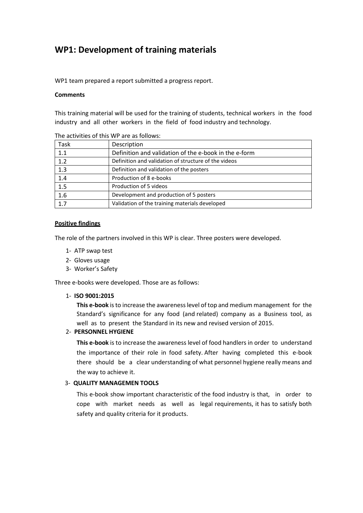# **WP1: Development of training materials**

WP1 team prepared a report submitted a progress report.

#### **Comments**

This training material will be used for the training of students, technical workers in the food industry and all other workers in the field of food industry and technology.

| Task | Description                                           |
|------|-------------------------------------------------------|
| 1.1  | Definition and validation of the e-book in the e-form |
| 1.2  | Definition and validation of structure of the videos  |
| 1.3  | Definition and validation of the posters              |
| 1.4  | Production of 8 e-books                               |
| 1.5  | Production of 5 videos                                |
| 1.6  | Development and production of 5 posters               |
| 1.7  | Validation of the training materials developed        |

The activities of this WP are as follows:

#### **Positive findings**

The role of the partners involved in this WP is clear. Three posters were developed.

- 1- ATP swap test
- 2- Gloves usage
- 3- Worker's Safety

Three e-books were developed. Those are as follows:

#### 1- **ISO 9001:2015**

**This e-book** is to increase the awareness level of top and medium management for the Standard's significance for any food (and related) company as a Business tool, as well as to present the Standard in its new and revised version of 2015.

## 2- **PERSONNEL HYGIENE**

**This e-book** is to increase the awareness level of food handlers in order to understand the importance of their role in food safety. After having completed this e-book there should be a clear understanding of what personnel hygiene really means and the way to achieve it.

## 3- **QUALITY MANAGEMEN TOOLS**

This e-book show important characteristic of the food industry is that, in order to cope with market needs as well as legal requirements, it has to satisfy both safety and quality criteria for it products.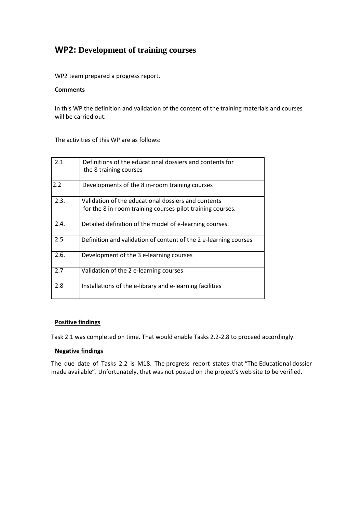# **WP2: Development of training courses**

WP2 team prepared a progress report.

## **Comments**

In this WP the definition and validation of the content of the training materials and courses will be carried out.

The activities of this WP are as follows:

| 2.1  | Definitions of the educational dossiers and contents for<br>the 8 training courses |
|------|------------------------------------------------------------------------------------|
| 2.2  | Developments of the 8 in-room training courses                                     |
| 2.3. | Validation of the educational dossiers and contents                                |
|      | for the 8 in-room training courses-pilot training courses.                         |
| 2.4. | Detailed definition of the model of e-learning courses.                            |
| 2.5  | Definition and validation of content of the 2 e-learning courses                   |
| 2.6. | Development of the 3 e-learning courses                                            |
| 2.7  | Validation of the 2 e-learning courses                                             |
| 2.8  | Installations of the e-library and e-learning facilities                           |

# **Positive findings**

Task 2.1 was completed on time. That would enable Tasks 2.2-2.8 to proceed accordingly.

# **Negative findings**

The due date of Tasks 2.2 is M18. The progress report states that "The Educational dossier made available". Unfortunately, that was not posted on the project's web site to be verified.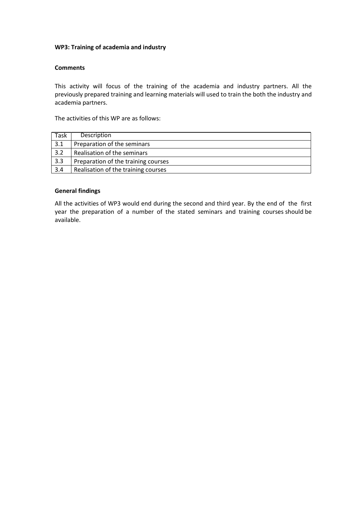## **WP3: Training of academia and industry**

## **Comments**

This activity will focus of the training of the academia and industry partners. All the previously prepared training and learning materials will used to train the both the industry and academia partners.

The activities of this WP are as follows:

| Task | Description                         |
|------|-------------------------------------|
| 3.1  | Preparation of the seminars         |
| 3.2  | Realisation of the seminars         |
| 3.3  | Preparation of the training courses |
| 3.4  | Realisation of the training courses |

## **General findings**

All the activities of WP3 would end during the second and third year. By the end of the first year the preparation of a number of the stated seminars and training courses should be available.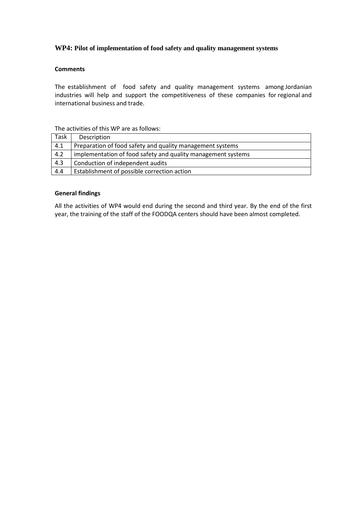## **WP4: Pilot of implementation of food safety and quality management systems**

#### **Comments**

The establishment of food safety and quality management systems among Jordanian industries will help and support the competitiveness of these companies for regional and international business and trade.

The activities of this WP are as follows:

| Task | Description                                                  |
|------|--------------------------------------------------------------|
| 4.1  | Preparation of food safety and quality management systems    |
| 4.2  | implementation of food safety and quality management systems |
| 4.3  | Conduction of independent audits                             |
| 4.4  | Establishment of possible correction action                  |

#### **General findings**

All the activities of WP4 would end during the second and third year. By the end of the first year, the training of the staff of the FOODQA centers should have been almost completed.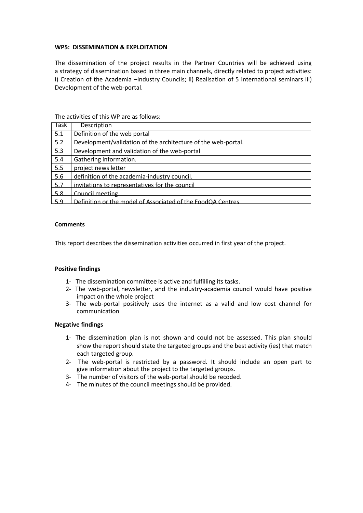#### **WP5: DISSEMINATION & EXPLOITATION**

The dissemination of the project results in the Partner Countries will be achieved using a strategy of dissemination based in three main channels, directly related to project activities: i) Creation of the Academia –Industry Councils; ii) Realisation of 5 international seminars iii) Development of the web-portal.

| Task             | <b>Description</b>                                            |
|------------------|---------------------------------------------------------------|
| $\overline{5.1}$ | Definition of the web portal                                  |
| 5.2              | Development/validation of the architecture of the web-portal. |
| 5.3              | Development and validation of the web-portal                  |
| 5.4              | Gathering information.                                        |
| 5.5              | project news letter                                           |
| 5.6              | definition of the academia-industry council.                  |
| 5.7              | invitations to representatives for the council                |
| 5.8              | Council meeting.                                              |
| 5.9              | Definition or the model of Associated of the FoodQA Centres   |

The activities of this WP are as follows:

#### **Comments**

This report describes the dissemination activities occurred in first year of the project.

#### **Positive findings**

- 1- The dissemination committee is active and fulfilling its tasks.
- 2- The web-portal, newsletter, and the industry-academia council would have positive impact on the whole project
- 3- The web-portal positively uses the internet as a valid and low cost channel for communication

#### **Negative findings**

- 1- The dissemination plan is not shown and could not be assessed. This plan should show the report should state the targeted groups and the best activity (ies) that match each targeted group.
- 2- The web-portal is restricted by a password. It should include an open part to give information about the project to the targeted groups.
- 3- The number of visitors of the web-portal should be recoded.
- 4- The minutes of the council meetings should be provided.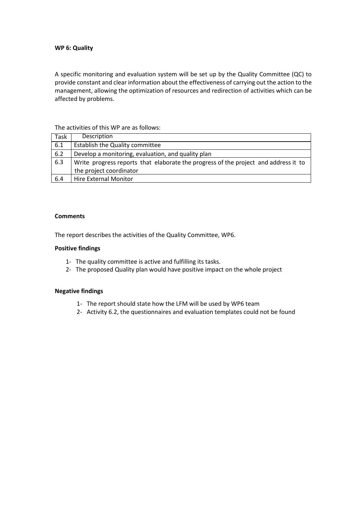#### **WP 6: Quality**

A specific monitoring and evaluation system will be set up by the Quality Committee (QC) to provide constant and clear information about the effectiveness of carrying out the action to the management, allowing the optimization of resources and redirection of activities which can be affected by problems.

#### The activities of this WP are as follows:

| Task | Description                                                                         |
|------|-------------------------------------------------------------------------------------|
| 6.1  | Establish the Quality committee                                                     |
| 6.2  | Develop a monitoring, evaluation, and quality plan                                  |
| 6.3  | Write progress reports that elaborate the progress of the project and address it to |
|      | the project coordinator                                                             |
| 6.4  | Hire External Monitor                                                               |

#### **Comments**

The report describes the activities of the Quality Committee, WP6.

#### **Positive findings**

- 1- The quality committee is active and fulfilling its tasks.
- 2- The proposed Quality plan would have positive impact on the whole project

#### **Negative findings**

- 1- The report should state how the LFM will be used by WP6 team
- 2- Activity 6.2, the questionnaires and evaluation templates could not be found